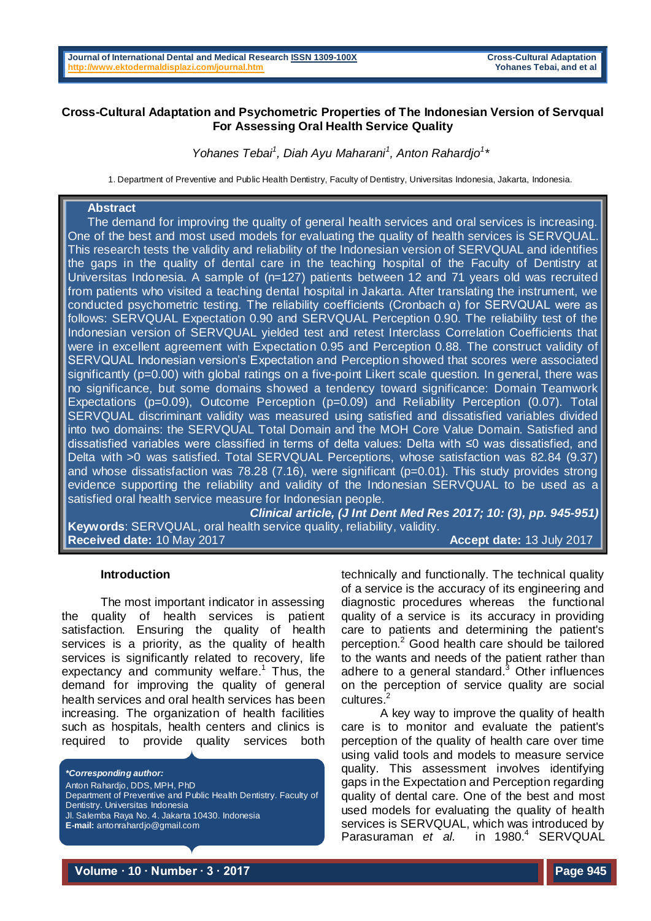# **Cross-Cultural Adaptation and Psychometric Properties of The Indonesian Version of Servqual For Assessing Oral Health Service Quality**

# *Yohanes Tebai<sup>1</sup> , Diah Ayu Maharani<sup>1</sup> , Anton Rahardjo<sup>1</sup> \**

1. Department of Preventive and Public Health Dentistry, Faculty of Dentistry, Universitas Indonesia, Jakarta, Indonesia.

# **Abstract**

 The demand for improving the quality of general health services and oral services is increasing. One of the best and most used models for evaluating the quality of health services is SERVQUAL. This research tests the validity and reliability of the Indonesian version of SERVQUAL and identifies the gaps in the quality of dental care in the teaching hospital of the Faculty of Dentistry at Universitas Indonesia. A sample of (n=127) patients between 12 and 71 years old was recruited from patients who visited a teaching dental hospital in Jakarta. After translating the instrument, we conducted psychometric testing. The reliability coefficients (Cronbach α) for SERVQUAL were as follows: SERVQUAL Expectation 0.90 and SERVQUAL Perception 0.90. The reliability test of the Indonesian version of SERVQUAL yielded test and retest Interclass Correlation Coefficients that were in excellent agreement with Expectation 0.95 and Perception 0.88. The construct validity of SERVQUAL Indonesian version's Expectation and Perception showed that scores were associated significantly (p=0.00) with global ratings on a five-point Likert scale question. In general, there was no significance, but some domains showed a tendency toward significance: Domain Teamwork Expectations (p=0.09), Outcome Perception (p=0.09) and Reliability Perception (0.07). Total SERVQUAL discriminant validity was measured using satisfied and dissatisfied variables divided into two domains: the SERVQUAL Total Domain and the MOH Core Value Domain. Satisfied and dissatisfied variables were classified in terms of delta values: Delta with ≤0 was dissatisfied, and Delta with >0 was satisfied. Total SERVQUAL Perceptions, whose satisfaction was 82.84 (9.37) and whose dissatisfaction was 78.28 (7.16), were significant (p=0.01). This study provides strong evidence supporting the reliability and validity of the Indonesian SERVQUAL to be used as a satisfied oral health service measure for Indonesian people.

*Clinical article, (J Int Dent Med Res 2017; 10: (3), pp. 945-951)*  **Keywords**: SERVQUAL, oral health service quality, reliability, validity. **Received date:** 10 May 2017 **Accept date:** 13 July 2017

#### **Introduction**

The most important indicator in assessing the quality of health services is patient satisfaction. Ensuring the quality of health services is a priority, as the quality of health services is significantly related to recovery, life expectancy and community welfare. <sup>1</sup> Thus, the demand for improving the quality of general health services and oral health services has been increasing. The organization of health facilities such as hospitals, health centers and clinics is required to provide quality services both

*\*Corresponding author:*

Anton Rahardjo, DDS, MPH, PhD Department of Preventive and Public Health Dentistry. Faculty of Dentistry. Universitas Indonesia Jl. Salemba Raya No. 4. Jakarta 10430. Indonesia

**E-mail:** antonrahardjo@gmail.com

technically and functionally. The technical quality of a service is the accuracy of its engineering and diagnostic procedures whereas the functional quality of a service is its accuracy in providing care to patients and determining the patient's perception. <sup>2</sup> Good health care should be tailored to the wants and needs of the patient rather than adhere to a general standard. <sup>3</sup> Other influences on the perception of service quality are social cultures. 2

A key way to improve the quality of health care is to monitor and evaluate the patient's perception of the quality of health care over time using valid tools and models to measure service quality. This assessment involves identifying gaps in the Expectation and Perception regarding quality of dental care. One of the best and most used models for evaluating the quality of health services is SERVQUAL, which was introduced by Parasuraman *et al.* in  $1980.<sup>4</sup>$  SERVQUAL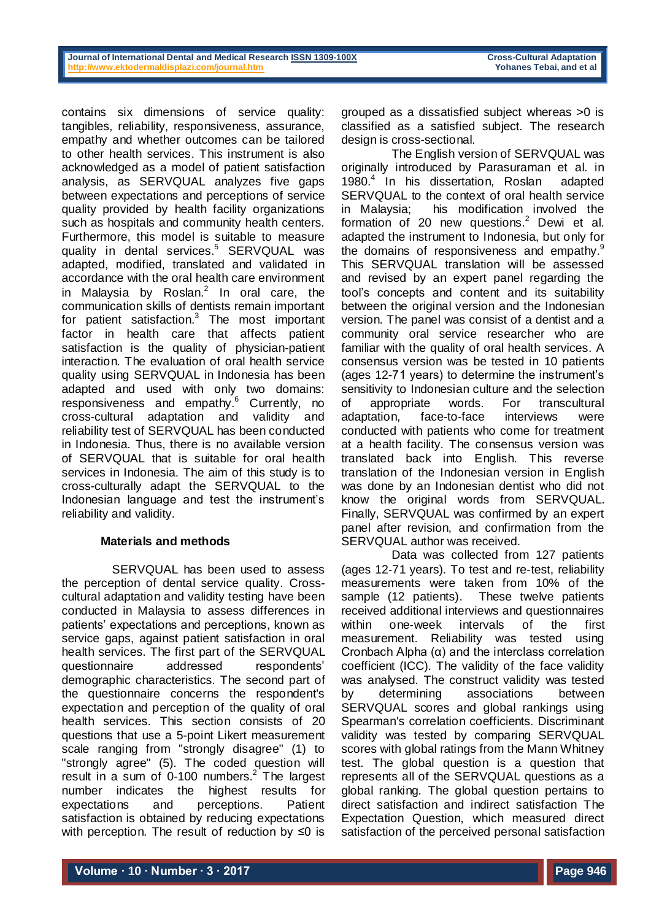contains six dimensions of service quality: tangibles, reliability, responsiveness, assurance, empathy and whether outcomes can be tailored to other health services. This instrument is also acknowledged as a model of patient satisfaction analysis, as SERVQUAL analyzes five gaps between expectations and perceptions of service quality provided by health facility organizations such as hospitals and community health centers. Furthermore, this model is suitable to measure quality in dental services. <sup>5</sup> SERVQUAL was adapted, modified, translated and validated in accordance with the oral health care environment in Malaysia by Roslan. $^2$  In oral care, the communication skills of dentists remain important for patient satisfaction.<sup>3</sup> The most important factor in health care that affects patient satisfaction is the quality of physician-patient interaction. The evaluation of oral health service quality using SERVQUAL in Indonesia has been adapted and used with only two domains: responsiveness and empathy.<sup>6</sup> Currently, no cross-cultural adaptation and validity and reliability test of SERVQUAL has been conducted in Indonesia. Thus, there is no available version of SERVQUAL that is suitable for oral health services in Indonesia. The aim of this study is to cross-culturally adapt the SERVQUAL to the Indonesian language and test the instrument's reliability and validity.

## **Materials and methods**

SERVQUAL has been used to assess the perception of dental service quality. Crosscultural adaptation and validity testing have been conducted in Malaysia to assess differences in patients' expectations and perceptions, known as service gaps, against patient satisfaction in oral health services. The first part of the SERVQUAL questionnaire addressed respondents' demographic characteristics. The second part of the questionnaire concerns the respondent's expectation and perception of the quality of oral health services. This section consists of 20 questions that use a 5-point Likert measurement scale ranging from "strongly disagree" (1) to "strongly agree" (5). The coded question will result in a sum of 0-100 numbers.<sup>2</sup> The largest number indicates the highest results for expectations and perceptions. Patient satisfaction is obtained by reducing expectations with perception. The result of reduction by ≤0 is

The English version of SERVQUAL was originally introduced by Parasuraman et al. in 1980. 4 In his dissertation, Roslan adapted SERVQUAL to the context of oral health service in Malaysia; his modification involved the formation of 20 new questions. <sup>2</sup> Dewi et al. adapted the instrument to Indonesia, but only for the domains of responsiveness and empathy.<sup>9</sup> This SERVQUAL translation will be assessed and revised by an expert panel regarding the tool's concepts and content and its suitability between the original version and the Indonesian version. The panel was consist of a dentist and a community oral service researcher who are familiar with the quality of oral health services. A consensus version was be tested in 10 patients (ages 12-71 years) to determine the instrument's sensitivity to Indonesian culture and the selection of appropriate words. For transcultural adaptation, face-to-face interviews were conducted with patients who come for treatment at a health facility. The consensus version was translated back into English. This reverse translation of the Indonesian version in English was done by an Indonesian dentist who did not know the original words from SERVQUAL. Finally, SERVQUAL was confirmed by an expert panel after revision, and confirmation from the SERVQUAL author was received.

Data was collected from 127 patients (ages 12-71 years). To test and re-test, reliability measurements were taken from 10% of the sample (12 patients). These twelve patients received additional interviews and questionnaires within one-week intervals of the first measurement. Reliability was tested using Cronbach Alpha (α) and the interclass correlation coefficient (ICC). The validity of the face validity was analysed. The construct validity was tested by determining associations between SERVQUAL scores and global rankings using Spearman's correlation coefficients. Discriminant validity was tested by comparing SERVQUAL scores with global ratings from the Mann Whitney test. The global question is a question that represents all of the SERVQUAL questions as a global ranking. The global question pertains to direct satisfaction and indirect satisfaction The Expectation Question, which measured direct satisfaction of the perceived personal satisfaction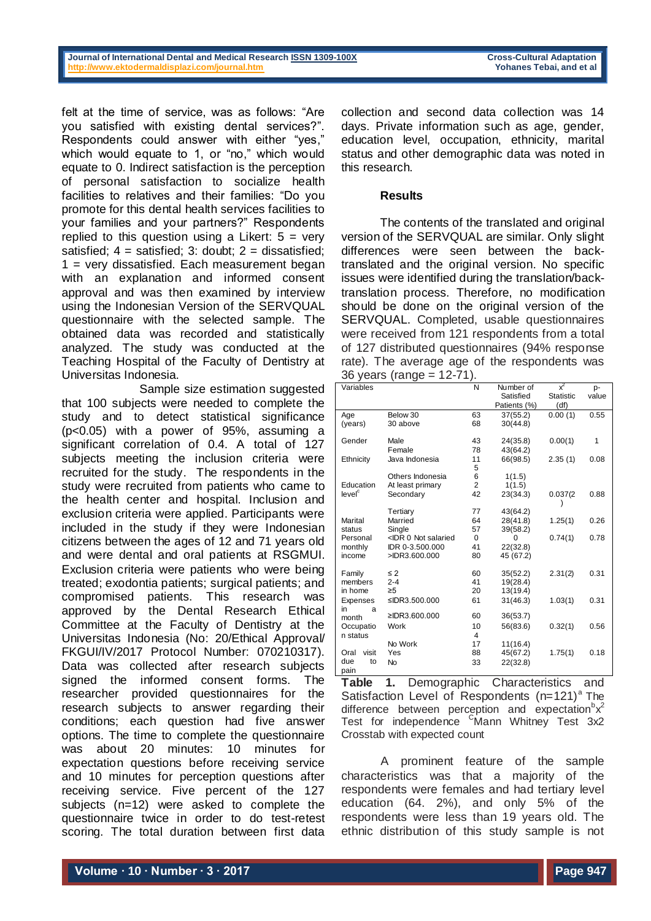### **Journal of International Dental and Medical Research ISSN 1309-100X Cross-Cultural Adaptation**<br> **http://www.ektodermaldisplazi.com/journal.htm Cross-Cultural Adaptation Property** Yohanes Tebai, and et al **<http://www.ektodermaldisplazi.com/journal.htm>Yohanes Tebai, and et al**

felt at the time of service, was as follows: "Are you satisfied with existing dental services?". Respondents could answer with either "yes," which would equate to 1, or "no," which would equate to 0. Indirect satisfaction is the perception of personal satisfaction to socialize health facilities to relatives and their families: "Do you promote for this dental health services facilities to your families and your partners?" Respondents replied to this question using a Likert:  $5 = \text{very}$ satisfied;  $4 =$  satisfied; 3: doubt;  $2 =$  dissatisfied; 1 = very dissatisfied. Each measurement began with an explanation and informed consent approval and was then examined by interview using the Indonesian Version of the SERVQUAL questionnaire with the selected sample. The obtained data was recorded and statistically analyzed. The study was conducted at the Teaching Hospital of the Faculty of Dentistry at Universitas Indonesia.

Sample size estimation suggested that 100 subjects were needed to complete the study and to detect statistical significance (p<0.05) with a power of 95%, assuming a significant correlation of 0.4. A total of 127 subjects meeting the inclusion criteria were recruited for the study. The respondents in the study were recruited from patients who came to the health center and hospital. Inclusion and exclusion criteria were applied. Participants were included in the study if they were Indonesian citizens between the ages of 12 and 71 years old and were dental and oral patients at RSGMUI. Exclusion criteria were patients who were being treated; exodontia patients; surgical patients; and compromised patients. This research was approved by the Dental Research Ethical Committee at the Faculty of Dentistry at the Universitas Indonesia (No: 20/Ethical Approval/ FKGUI/IV/2017 Protocol Number: 070210317). Data was collected after research subjects signed the informed consent forms. The researcher provided questionnaires for the research subjects to answer regarding their conditions; each question had five answer options. The time to complete the questionnaire was about 20 minutes: 10 minutes for expectation questions before receiving service and 10 minutes for perception questions after receiving service. Five percent of the 127 subjects (n=12) were asked to complete the questionnaire twice in order to do test-retest scoring. The total duration between first data

collection and second data collection was 14 days. Private information such as age, gender, education level, occupation, ethnicity, marital status and other demographic data was noted in this research.

## **Results**

The contents of the translated and original version of the SERVQUAL are similar. Only slight differences were seen between the backtranslated and the original version. No specific issues were identified during the translation/backtranslation process. Therefore, no modification should be done on the original version of the SERVQUAL. Completed, usable questionnaires were received from 121 respondents from a total of 127 distributed questionnaires (94% response rate). The average age of the respondents was 36 years (range = 12-71).

|                    | oo youro (rariyo                                                                                              |                |              |                  |       |
|--------------------|---------------------------------------------------------------------------------------------------------------|----------------|--------------|------------------|-------|
| Variables          |                                                                                                               | N              | Number of    | $x^2$            | p-    |
|                    |                                                                                                               |                | Satisfied    | <b>Statistic</b> | value |
|                    |                                                                                                               |                | Patients (%) | (df)             |       |
| Age                | Below 30                                                                                                      | 63             | 37(55.2)     | 0.00(1)          | 0.55  |
| (years)            | 30 above                                                                                                      | 68             | 30(44.8)     |                  |       |
|                    |                                                                                                               |                |              |                  |       |
| Gender             | Male                                                                                                          | 43             | 24(35.8)     | 0.00(1)          | 1     |
|                    | Female                                                                                                        | 78             | 43(64.2)     |                  |       |
| Ethnicity          | Java Indonesia                                                                                                | 11             | 66(98.5)     | 2.35(1)          | 0.08  |
|                    |                                                                                                               | 5              |              |                  |       |
|                    | Others Indonesia                                                                                              | 6              | 1(1.5)       |                  |       |
| Education          | At least primary                                                                                              | $\overline{2}$ | 1(1.5)       |                  |       |
| level <sup>c</sup> | Secondary                                                                                                     | 42             | 23(34.3)     | 0.037(2)         | 0.88  |
|                    |                                                                                                               |                |              |                  |       |
|                    | Tertiary                                                                                                      | 77             | 43(64.2)     |                  |       |
| Marital            | Married                                                                                                       | 64             | 28(41.8)     | 1.25(1)          | 0.26  |
| status             | Single                                                                                                        | 57             | 39(58.2)     |                  |       |
| Personal           | <idr 0="" not="" salaried<="" td=""><td><math>\Omega</math></td><td>0</td><td>0.74(1)</td><td>0.78</td></idr> | $\Omega$       | 0            | 0.74(1)          | 0.78  |
| monthly            | IDR 0-3.500.000                                                                                               | 41             | 22(32.8)     |                  |       |
| income             | >IDR3.600.000                                                                                                 | 80             | 45 (67.2)    |                  |       |
|                    |                                                                                                               |                |              |                  |       |
| Family             | $\leq 2$                                                                                                      | 60             | 35(52.2)     | 2.31(2)          | 0.31  |
| members            | $2 - 4$                                                                                                       | 41             | 19(28.4)     |                  |       |
| in home            | $\geq 5$                                                                                                      | 20             | 13(19.4)     |                  |       |
| Expenses           | ≤IDR3.500.000                                                                                                 | 61             | 31(46.3)     | 1.03(1)          | 0.31  |
| in<br>a            |                                                                                                               |                |              |                  |       |
| month              | ≥IDR3.600.000                                                                                                 | 60             | 36(53.7)     |                  |       |
| Occupatio          | Work                                                                                                          | 10             | 56(83.6)     | 0.32(1)          | 0.56  |
| n status           |                                                                                                               | 4              |              |                  |       |
|                    | No Work                                                                                                       | 17             | 11(16.4)     |                  |       |
| Oral<br>visit      | Yes                                                                                                           | 88             | 45(67.2)     | 1.75(1)          | 0.18  |
| due<br>to          | <b>No</b>                                                                                                     | 33             | 22(32.8)     |                  |       |
| pain               |                                                                                                               |                |              |                  |       |

**Table 1.** Demographic Characteristics and Satisfaction Level of Respondents  $(n=121)^a$  The difference between perception and expectation  $x^2$ Test for independence <sup>C</sup>Mann Whitney Test 3x2 Crosstab with expected count

A prominent feature of the sample characteristics was that a majority of the respondents were females and had tertiary level education (64. 2%), and only 5% of the respondents were less than 19 years old. The ethnic distribution of this study sample is not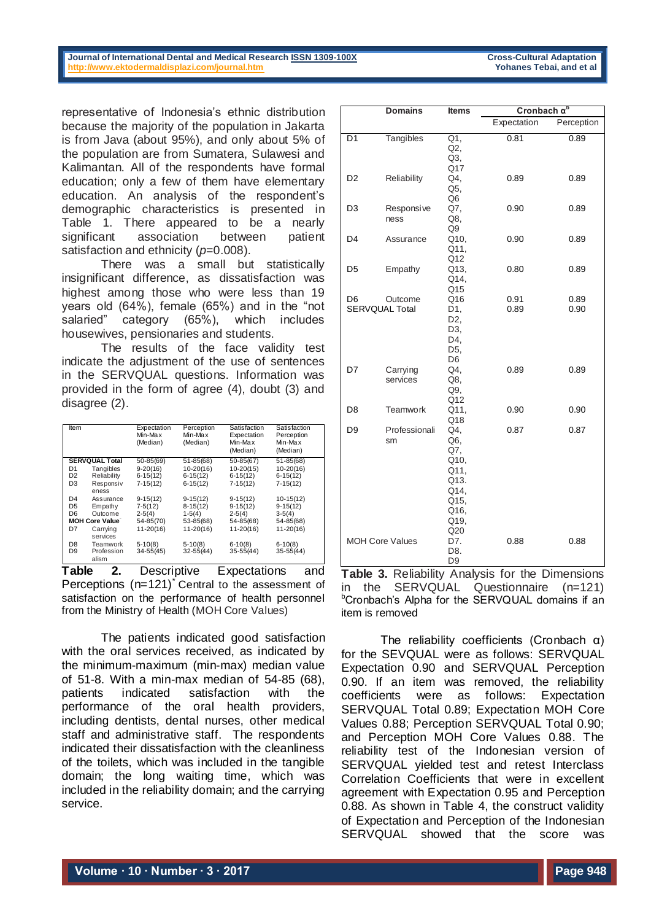#### **Journal of International Dental and Medical Research ISSN 1309-100X Cross-Cultural Adaptation**<br> **http://www.ektodermaldisplazi.com/journal.htm Cross-Cultural Adaptation Property** Yohanes Tebai, and et al **<http://www.ektodermaldisplazi.com/journal.htm>Yohanes Tebai, and et al**

representative of Indonesia's ethnic distribution because the majority of the population in Jakarta is from Java (about 95%), and only about 5% of the population are from Sumatera, Sulawesi and Kalimantan. All of the respondents have formal education; only a few of them have elementary education. An analysis of the respondent's demographic characteristics is presented in Table 1. There appeared to be a nearly significant association between patient satisfaction and ethnicity ( $p=0.008$ ).

There was a small but statistically insignificant difference, as dissatisfaction was highest among those who were less than 19 years old (64%), female (65%) and in the "not salaried" category (65%), which includes housewives, pensionaries and students.

The results of the face validity test indicate the adjustment of the use of sentences in the SERVQUAL questions. Information was provided in the form of agree (4), doubt (3) and disagree (2).

| <b>Item</b>           |                     | Expectation<br>Min-Max<br>(Median) | Perception<br>Min-Max<br>(Median) | Satisfaction<br>Expectation<br>Min-Max<br>(Median) | Satisfaction<br>Perception<br>Min-Max<br>(Median) |
|-----------------------|---------------------|------------------------------------|-----------------------------------|----------------------------------------------------|---------------------------------------------------|
| <b>SERVQUAL Total</b> |                     | 50-85(69)                          | $51 - 85(68)$                     | $50 - 85(67)$                                      | $51 - 85(68)$                                     |
| D1                    | Tangibles           | $9-20(16)$                         | $10-20(16)$                       | $10-20(15)$                                        | $10-20(16)$                                       |
| D <sub>2</sub>        | Reliability         | $6-15(12)$                         | $6-15(12)$                        | $6-15(12)$                                         | $6-15(12)$                                        |
| D3                    | Responsiv           | $7-15(12)$                         | $6-15(12)$                        | $7-15(12)$                                         | $7-15(12)$                                        |
|                       | eness               |                                    |                                   |                                                    |                                                   |
| D <sub>4</sub>        | Assurance           | $9-15(12)$                         | $9-15(12)$                        | $9-15(12)$                                         | $10-15(12)$                                       |
| D <sub>5</sub>        | Empathy             | $7-5(12)$                          | $8-15(12)$                        | $9-15(12)$                                         | $9-15(12)$                                        |
| D6                    | Outcome             | $2-5(4)$                           | $1-5(4)$                          | $2-5(4)$                                           | $3-5(4)$                                          |
| <b>MOH Core Value</b> |                     | 54-85(70)                          | 53-85(68)                         | 54-85(68)                                          | 54-85(68)                                         |
| D7                    | Carrying            | $11 - 20(16)$                      | $11 - 20(16)$                     | $11 - 20(16)$                                      | $11 - 20(16)$                                     |
|                       | services            |                                    |                                   |                                                    |                                                   |
| D8                    | Teamwork            | $5-10(8)$                          | $5-10(8)$                         | $6-10(8)$                                          | $6-10(8)$                                         |
| D <sub>9</sub>        | Profession<br>alism | $34 - 55(45)$                      | $32 - 55(44)$                     | $35 - 55(44)$                                      | $35 - 55(44)$                                     |

**Table 2.** Descriptive Expectations and Perceptions  $(n=121)^{\dagger}$  Central to the assessment of satisfaction on the performance of health personnel from the Ministry of Health (MOH Core Values)

The patients indicated good satisfaction with the oral services received, as indicated by the minimum-maximum (min-max) median value of 51-8. With a min-max median of 54-85 (68), patients indicated satisfaction with the performance of the oral health providers, including dentists, dental nurses, other medical staff and administrative staff. The respondents indicated their dissatisfaction with the cleanliness of the toilets, which was included in the tangible domain; the long waiting time, which was included in the reliability domain; and the carrying service.

|                        | <b>Domains</b>                   | <b>Items</b>                                                                     | Cronbach $\alpha^b$ |              |
|------------------------|----------------------------------|----------------------------------------------------------------------------------|---------------------|--------------|
|                        |                                  |                                                                                  | Expectation         | Perception   |
| D <sub>1</sub>         | Tangibles                        | Q1,<br>Q2<br>Q3,<br>Q17                                                          | 0.81                | 0.89         |
| D <sub>2</sub>         | Reliability                      | Q4,<br>Q5.<br>Q <sub>6</sub>                                                     | 0.89                | 0.89         |
| D3                     | Responsive<br>ness               | Q7,<br>Q8,<br>Q9                                                                 | 0.90                | 0.89         |
| D <sub>4</sub>         | Assurance                        | Q10,<br>Q11.<br>Q12                                                              | 0.90                | 0.89         |
| D <sub>5</sub>         | Empathy                          | Q13,<br>Q14,<br>Q15                                                              | 0.80                | 0.89         |
| D6                     | Outcome<br><b>SERVQUAL Total</b> | Q16<br>D1,<br>D <sub>2</sub><br>D3.<br>D4,<br>D5,<br>D <sub>6</sub>              | 0.91<br>0.89        | 0.89<br>0.90 |
| D7                     | Carrying<br>services             | Q4.<br>Q8,<br>Q9,<br>Q12                                                         | 0.89                | 0.89         |
| D <sub>8</sub>         | <b>Teamwork</b>                  | Q11.<br>Q18                                                                      | 0.90                | 0.90         |
| D <sub>9</sub>         | Professionali<br>sm              | Q4.<br>Q6,<br>Q7.<br>Q10,<br>Q11,<br>Q13.<br>Q14,<br>Q15,<br>Q16,<br>Q19,<br>Q20 | 0.87                | 0.87         |
| <b>MOH Core Values</b> |                                  | D7.<br>D8.<br>D <sub>9</sub>                                                     | 0.88                | 0.88         |

**Table 3.** Reliability Analysis for the Dimensions in the SERVQUAL Questionnaire (n=121) <sup>b</sup>Cronbach's Alpha for the SERVQUAL domains if an item is removed

The reliability coefficients (Cronbach α) for the SEVQUAL were as follows: SERVQUAL Expectation 0.90 and SERVQUAL Perception 0.90. If an item was removed, the reliability coefficients were as follows: Expectation SERVQUAL Total 0.89; Expectation MOH Core Values 0.88; Perception SERVQUAL Total 0.90; and Perception MOH Core Values 0.88. The reliability test of the Indonesian version of SERVQUAL yielded test and retest Interclass Correlation Coefficients that were in excellent agreement with Expectation 0.95 and Perception 0.88. As shown in Table 4, the construct validity of Expectation and Perception of the Indonesian SERVQUAL showed that the score was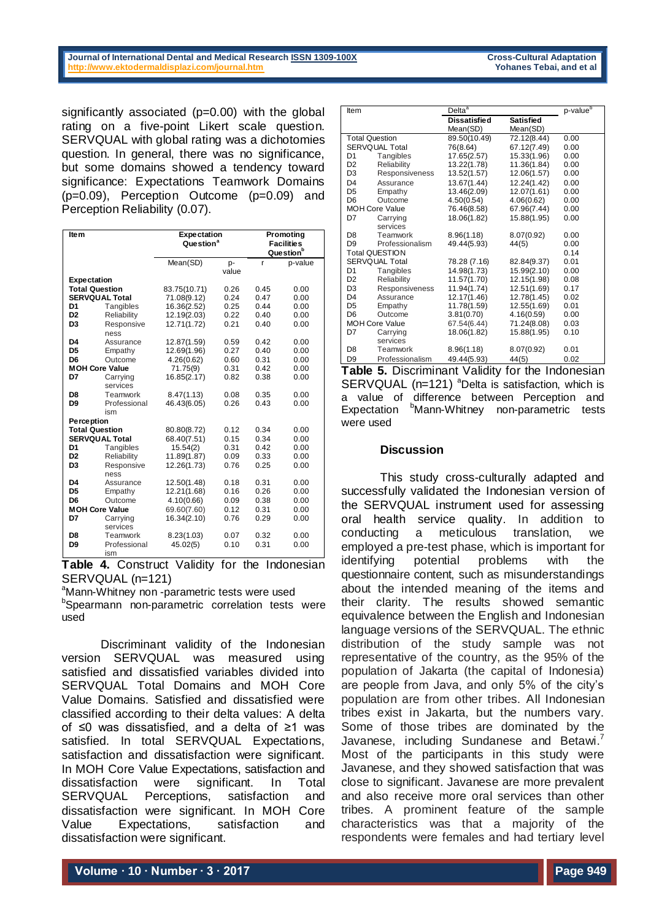### **Journal of International Dental and Medical Research ISSN 1309-100X Cross-Cultural Adaptation**<br> **http://www.ektodermaldisplazi.com/journal.htm Cross-Cultural Adaptation Property** Yohanes Tebai, and et al **<http://www.ektodermaldisplazi.com/journal.htm>Yohanes Tebai, and et al**

significantly associated  $(p=0.00)$  with the global rating on a five-point Likert scale question. SERVQUAL with global rating was a dichotomies question. In general, there was no significance, but some domains showed a tendency toward significance: Expectations Teamwork Domains (p=0.09), Perception Outcome (p=0.09) and Perception Reliability (0.07).

| Ite <sub>m</sub>      |                                    | <b>Expectation</b><br>Question <sup>a</sup> |              | Promoting<br><b>Facilities</b><br>Question <sup>b</sup> |              |
|-----------------------|------------------------------------|---------------------------------------------|--------------|---------------------------------------------------------|--------------|
|                       |                                    | Mean(SD)                                    | p-           | r                                                       | p-value      |
| <b>Expectation</b>    |                                    |                                             | value        |                                                         |              |
| <b>Total Question</b> |                                    | 83.75(10.71)                                | 0.26         | 0.45                                                    | 0.00         |
|                       | <b>SERVQUAL Total</b>              | 71.08(9.12)                                 | 0.24         | 0.47                                                    | 0.00         |
| D1                    | Tangibles                          | 16.36(2.52)                                 | 0.25         | 0.44                                                    | 0.00         |
| D <sub>2</sub>        | Reliability                        | 12.19(2.03)                                 | 0.22         | 0.40                                                    | 0.00         |
| D <sub>3</sub>        | Responsive                         | 12.71(1.72)                                 | 0.21         | 0.40                                                    | 0.00         |
|                       | ness                               |                                             |              |                                                         |              |
| D4                    | Assurance                          | 12.87(1.59)                                 | 0.59         | 0.42                                                    | 0.00         |
| D <sub>5</sub>        | Empathy                            | 12.69(1.96)                                 | 0.27         | 0.40                                                    | 0.00         |
| D <sub>6</sub>        | Outcome                            | 4.26(0.62)                                  | 0.60         | 0.31                                                    | 0.00         |
|                       | <b>MOH Core Value</b>              | 71.75(9)                                    | 0.31         | 0.42                                                    | 0.00         |
| D7                    | Carrying                           | 16.85(2.17)                                 | 0.82         | 0.38                                                    | 0.00         |
|                       | services                           |                                             |              |                                                         |              |
| D8                    | Teamwork                           | 8.47(1.13)                                  | 0.08         | 0.35                                                    | 0.00         |
| D <sub>9</sub>        | Professional                       | 46.43(6.05)                                 | 0.26         | 0.43                                                    | 0.00         |
|                       | ism                                |                                             |              |                                                         |              |
| <b>Perception</b>     |                                    |                                             |              |                                                         |              |
|                       | <b>Total Question</b>              | 80.80(8.72)                                 | 0.12         | 0.34                                                    | 0.00         |
| D1                    | <b>SERVQUAL Total</b><br>Tangibles | 68.40(7.51)                                 | 0.15<br>0.31 | 0.34<br>0.42                                            | 0.00<br>0.00 |
| D <sub>2</sub>        | Reliability                        | 15.54(2)<br>11.89(1.87)                     | 0.09         | 0.33                                                    | 0.00         |
| D <sub>3</sub>        | Responsive                         | 12.26(1.73)                                 | 0.76         | 0.25                                                    | 0.00         |
|                       | ness                               |                                             |              |                                                         |              |
| D4                    | Assurance                          | 12.50(1.48)                                 | 0.18         | 0.31                                                    | 0.00         |
| D <sub>5</sub>        | Empathy                            | 12.21(1.68)                                 | 0.16         | 0.26                                                    | 0.00         |
| D <sub>6</sub>        | Outcome                            | 4.10(0.66)                                  | 0.09         | 0.38                                                    | 0.00         |
| <b>MOH Core Value</b> |                                    | 69.60(7.60)                                 | 0.12         | 0.31                                                    | 0.00         |
| D7                    | Carrying                           | 16.34(2.10)                                 | 0.76         | 0.29                                                    | 0.00         |
|                       | services                           |                                             |              |                                                         |              |
| D8                    | Teamwork                           | 8.23(1.03)                                  | 0.07         | 0.32                                                    | 0.00         |
| D <sub>9</sub>        | Professional                       | 45.02(5)                                    | 0.10         | 0.31                                                    | 0.00         |
|                       | ism                                |                                             |              |                                                         |              |

**Table 4.** Construct Validity for the Indonesian SERVQUAL (n=121)

<sup>a</sup>Mann-Whitney non -parametric tests were used

**bSpearmann** non-parametric correlation tests were used

Discriminant validity of the Indonesian version SERVQUAL was measured using satisfied and dissatisfied variables divided into SERVQUAL Total Domains and MOH Core Value Domains. Satisfied and dissatisfied were classified according to their delta values: A delta of ≤0 was dissatisfied, and a delta of ≥1 was satisfied. In total SERVQUAL Expectations, satisfaction and dissatisfaction were significant. In MOH Core Value Expectations, satisfaction and dissatisfaction were significant. In Total SERVQUAL Perceptions, satisfaction and dissatisfaction were significant. In MOH Core Value Expectations, satisfaction and dissatisfaction were significant.

| Item                  |                       | Delta <sup>a</sup>  | p-value <sup>b</sup> |      |
|-----------------------|-----------------------|---------------------|----------------------|------|
|                       |                       | <b>Dissatisfied</b> | <b>Satisfied</b>     |      |
|                       |                       | Mean(SD)            | Mean(SD)             |      |
| <b>Total Question</b> |                       | 89.50(10.49)        | 72.12(8.44)          | 0.00 |
| <b>SERVQUAL Total</b> |                       | 76(8.64)            | 67.12(7.49)          | 0.00 |
| D <sub>1</sub>        | Tangibles             | 17.65(2.57)         | 15.33(1.96)          | 0.00 |
| D <sub>2</sub>        | Reliability           | 13.22(1.78)         | 11.36(1.84)          | 0.00 |
| D <sub>3</sub>        | <b>Responsiveness</b> | 13.52(1.57)         | 12.06(1.57)          | 0.00 |
| D <sub>4</sub>        | Assurance             | 13.67(1.44)         | 12.24(1.42)          | 0.00 |
| D <sub>5</sub>        | Empathy               | 13.46(2.09)         | 12.07(1.61)          | 0.00 |
| D <sub>6</sub>        | Outcome               | 4.50(0.54)          | 4.06(0.62)           | 0.00 |
|                       | <b>MOH Core Value</b> | 76.46(8.58)         | 67.96(7.44)          | 0.00 |
| D7                    | Carrying              | 18.06(1.82)         | 15.88(1.95)          | 0.00 |
|                       | services              |                     |                      |      |
| D <sub>8</sub>        | Teamwork              | 8.96(1.18)          | 8.07(0.92)           | 0.00 |
| D <sub>9</sub>        | Professionalism       | 49.44(5.93)         | 44(5)                | 0.00 |
|                       | <b>Total QUESTION</b> |                     |                      | 0.14 |
| SERVQUAL Total        |                       | 78.28 (7.16)        | 82.84(9.37)          | 0.01 |
| D <sub>1</sub>        | Tangibles             | 14.98(1.73)         | 15.99(2.10)          | 0.00 |
| D <sub>2</sub>        | Reliability           | 11.57(1.70)         | 12.15(1.98)          | 0.08 |
| D <sub>3</sub>        | Responsiveness        | 11.94(1.74)         | 12.51(1.69)          | 0.17 |
| D <sub>4</sub>        | Assurance             | 12.17(1.46)         | 12.78(1.45)          | 0.02 |
| D <sub>5</sub>        | Empathy               | 11.78(1.59)         | 12.55(1.69)          | 0.01 |
| D <sub>6</sub>        | Outcome               | 3.81(0.70)          | 4.16(0.59)           | 0.00 |
| <b>MOH Core Value</b> |                       | 67.54(6.44)         | 71.24(8.08)          | 0.03 |
| D7                    | Carrying              | 18.06(1.82)         | 15.88(1.95)          | 0.10 |
|                       | services              |                     |                      |      |
| D <sub>8</sub>        | Teamwork              | 8.96(1.18)          | 8.07(0.92)           | 0.01 |
| D <sub>9</sub>        | Professionalism       | 49.44(5.93)         | 44(5)                | 0.02 |

**Table 5.** Discriminant Validity for the Indonesian SERVQUAL ( $n=121$ ) <sup>a</sup>Delta is satisfaction, which is a value of difference between Perception and Expectation <sup>b</sup>Mann-Whitney non-parametric tests were used

### **Discussion**

This study cross-culturally adapted and successfully validated the Indonesian version of the SERVQUAL instrument used for assessing oral health service quality. In addition to conducting a meticulous translation, we employed a pre-test phase, which is important for identifying potential problems with the questionnaire content, such as misunderstandings about the intended meaning of the items and their clarity. The results showed semantic equivalence between the English and Indonesian language versions of the SERVQUAL. The ethnic distribution of the study sample was not representative of the country, as the 95% of the population of Jakarta (the capital of Indonesia) are people from Java, and only 5% of the city's population are from other tribes. All Indonesian tribes exist in Jakarta, but the numbers vary. Some of those tribes are dominated by the Javanese, including Sundanese and Betawi.<sup>7</sup> Most of the participants in this study were Javanese, and they showed satisfaction that was close to significant. Javanese are more prevalent and also receive more oral services than other tribes. A prominent feature of the sample characteristics was that a majority of the respondents were females and had tertiary level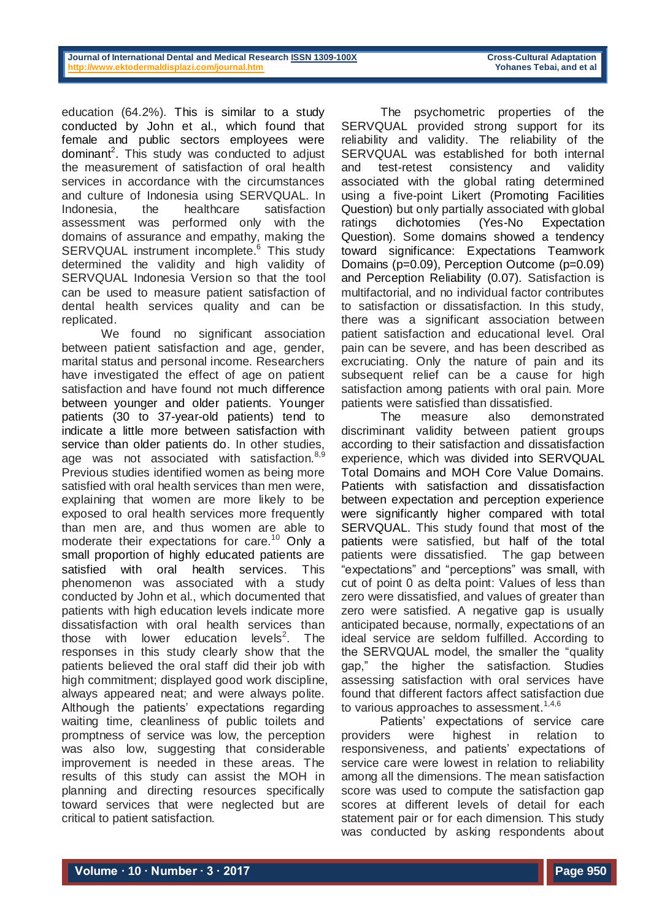education (64.2%). This is similar to a study conducted by John et al., which found that female and public sectors employees were dominant<sup>2</sup>. This study was conducted to adjust the measurement of satisfaction of oral health services in accordance with the circumstances and culture of Indonesia using SERVQUAL. In Indonesia, the healthcare satisfaction assessment was performed only with the domains of assurance and empathy, making the SERVQUAL instrument incomplete. <sup>6</sup> This study determined the validity and high validity of SERVQUAL Indonesia Version so that the tool can be used to measure patient satisfaction of dental health services quality and can be replicated.

We found no significant association between patient satisfaction and age, gender, marital status and personal income. Researchers have investigated the effect of age on patient satisfaction and have found not much difference between younger and older patients. Younger patients (30 to 37-year-old patients) tend to indicate a little more between satisfaction with service than older patients do. In other studies, age was not associated with satisfaction.<sup>8,9</sup> Previous studies identified women as being more satisfied with oral health services than men were, explaining that women are more likely to be exposed to oral health services more frequently than men are, and thus women are able to moderate their expectations for care.<sup>10</sup> Only a small proportion of highly educated patients are satisfied with oral health services. This phenomenon was associated with a study conducted by John et al., which documented that patients with high education levels indicate more dissatisfaction with oral health services than those with lower education levels<sup>2</sup>. . The responses in this study clearly show that the patients believed the oral staff did their job with high commitment; displayed good work discipline, always appeared neat; and were always polite. Although the patients' expectations regarding waiting time, cleanliness of public toilets and promptness of service was low, the perception was also low, suggesting that considerable improvement is needed in these areas. The results of this study can assist the MOH in planning and directing resources specifically toward services that were neglected but are critical to patient satisfaction.

The psychometric properties of the SERVQUAL provided strong support for its reliability and validity. The reliability of the SERVQUAL was established for both internal and test-retest consistency and validity associated with the global rating determined using a five-point Likert (Promoting Facilities Question) but only partially associated with global ratings dichotomies (Yes-No Expectation Question). Some domains showed a tendency toward significance: Expectations Teamwork Domains (p=0.09), Perception Outcome (p=0.09) and Perception Reliability (0.07). Satisfaction is multifactorial, and no individual factor contributes to satisfaction or dissatisfaction. In this study, there was a significant association between patient satisfaction and educational level. Oral pain can be severe, and has been described as excruciating. Only the nature of pain and its subsequent relief can be a cause for high satisfaction among patients with oral pain. More patients were satisfied than dissatisfied.

The measure also demonstrated discriminant validity between patient groups according to their satisfaction and dissatisfaction experience, which was divided into SERVQUAL Total Domains and MOH Core Value Domains. Patients with satisfaction and dissatisfaction between expectation and perception experience were significantly higher compared with total SERVQUAL. This study found that most of the patients were satisfied, but half of the total patients were dissatisfied. The gap between "expectations" and "perceptions" was small, with cut of point 0 as delta point: Values of less than zero were dissatisfied, and values of greater than zero were satisfied. A negative gap is usually anticipated because, normally, expectations of an ideal service are seldom fulfilled. According to the SERVQUAL model, the smaller the "quality gap," the higher the satisfaction. Studies assessing satisfaction with oral services have found that different factors affect satisfaction due to various approaches to assessment. $1,4,6$ 

Patients' expectations of service care providers were highest in relation to responsiveness, and patients' expectations of service care were lowest in relation to reliability among all the dimensions. The mean satisfaction score was used to compute the satisfaction gap scores at different levels of detail for each statement pair or for each dimension. This study was conducted by asking respondents about